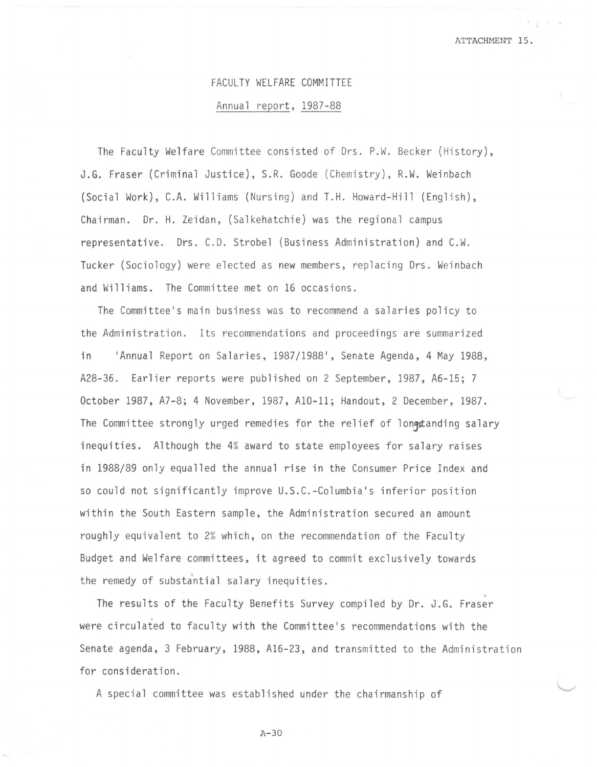## FACULTY WELFARE COMMITTEE

## Annual report, 1987-88

The Faculty Welfare Committee consisted of Drs. P.W. Becker (History), J.G. Fraser (Criminal Justice), S.R. Goode (Chemistry), R.W. Weinbach (Social Work), C.A. Williams (Nursing) and T.H. Howard-Hill (English), Chairman. Dr. H. Zeidan, (Salkehatchie) was the regional campus representative. Ors. C.D. Strobel (Business Administration) and C.W. Tucker (Sociology) were elected as new members, replacing Ors. Weinbach and Williams. The Committee met on 16 occasions.

The Committee's main business was to recommend a salaries policy to the Administration. Its recommendations and proceedings are summarized in 'Annual Report on Salaries, 1987/1988', Senate Agenda, 4 May 1988, A28-36. Earlier reports were published on 2 September, 1987, A6-15; 7 October 1987, A7-8; 4 November, 1987, Al0-11; Handout, 2 December, 1987. The Committee strongly urged remedies for the relief of longstanding salary inequities. Although the 4% award to state employees for salary raises in 1988/89 only equalled the annual rise in the Consumer Price Index and so could not significantly improve U.S.C.-Columbia's inferior position within the South Eastern sample, the Administration secured an amount roughly equivalent to 2% which, on the recommendation of the Faculty Budget and Welfare committees, it agreed to commit exclusively towards the remedy of substantial salary inequities.

The results of the Faculty Benefits Survey compiled *by* Dr. J.G. Fraser . were circulated to faculty with the Committee's recommendations with the Senate agenda, 3 February, 1988, Al6-23, and transmitted to the Administration for consideration.

A special committee was established under the chairmanship of

A-30